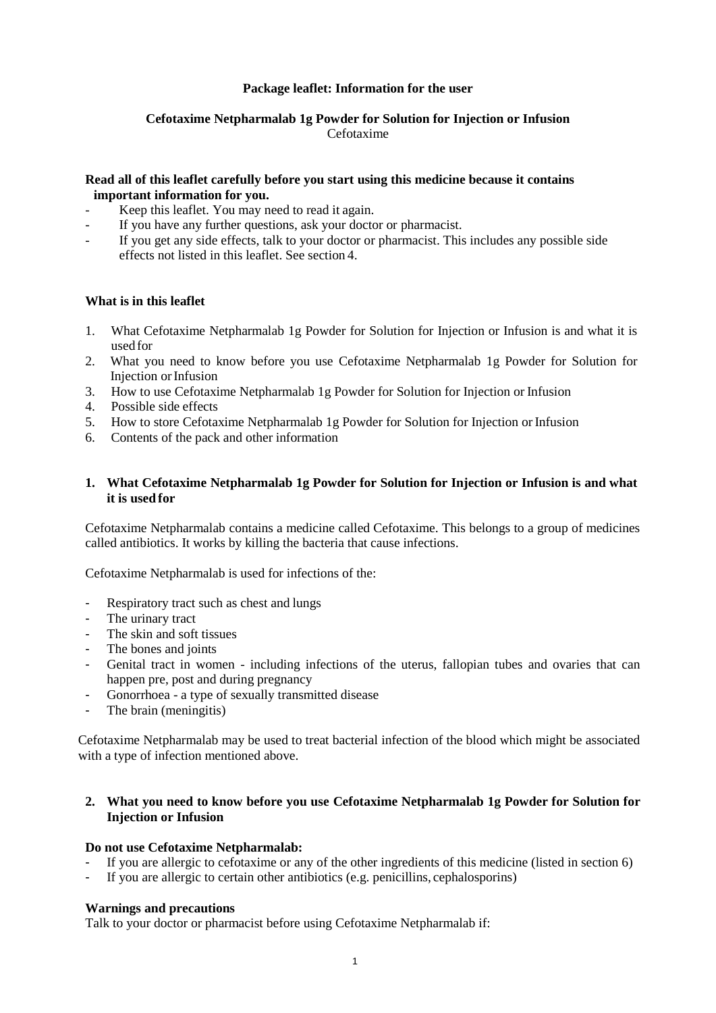## **Package leaflet: Information for the user**

## **Cefotaxime Netpharmalab 1g Powder for Solution for Injection or Infusion** Cefotaxime

## **Read all of this leaflet carefully before you start using this medicine because it contains important information for you.**

- Keep this leaflet. You may need to read it again.
- If you have any further questions, ask your doctor or pharmacist.
- If you get any side effects, talk to your doctor or pharmacist. This includes any possible side effects not listed in this leaflet. See section 4.

### **What is in this leaflet**

- 1. What Cefotaxime Netpharmalab 1g Powder for Solution for Injection or Infusion is and what it is used for
- 2. What you need to know before you use Cefotaxime Netpharmalab 1g Powder for Solution for Injection orInfusion
- 3. How to use Cefotaxime Netpharmalab 1g Powder for Solution for Injection or Infusion
- 4. Possible side effects
- 5. How to store Cefotaxime Netpharmalab 1g Powder for Solution for Injection or Infusion
- 6. Contents of the pack and other information

### **1. What Cefotaxime Netpharmalab 1g Powder for Solution for Injection or Infusion is and what it is used for**

Cefotaxime Netpharmalab contains a medicine called Cefotaxime. This belongs to a group of medicines called antibiotics. It works by killing the bacteria that cause infections.

Cefotaxime Netpharmalab is used for infections of the:

- Respiratory tract such as chest and lungs
- The urinary tract
- The skin and soft tissues
- The bones and joints
- Genital tract in women including infections of the uterus, fallopian tubes and ovaries that can happen pre, post and during pregnancy
- Gonorrhoea a type of sexually transmitted disease
- The brain (meningitis)

Cefotaxime Netpharmalab may be used to treat bacterial infection of the blood which might be associated with a type of infection mentioned above.

### **2. What you need to know before you use Cefotaxime Netpharmalab 1g Powder for Solution for Injection or Infusion**

### **Do not use Cefotaxime Netpharmalab:**

- If you are allergic to cefotaxime or any of the other ingredients of this medicine (listed in section 6)
- If you are allergic to certain other antibiotics (e.g. penicillins, cephalosporins)

#### **Warnings and precautions**

Talk to your doctor or pharmacist before using Cefotaxime Netpharmalab if: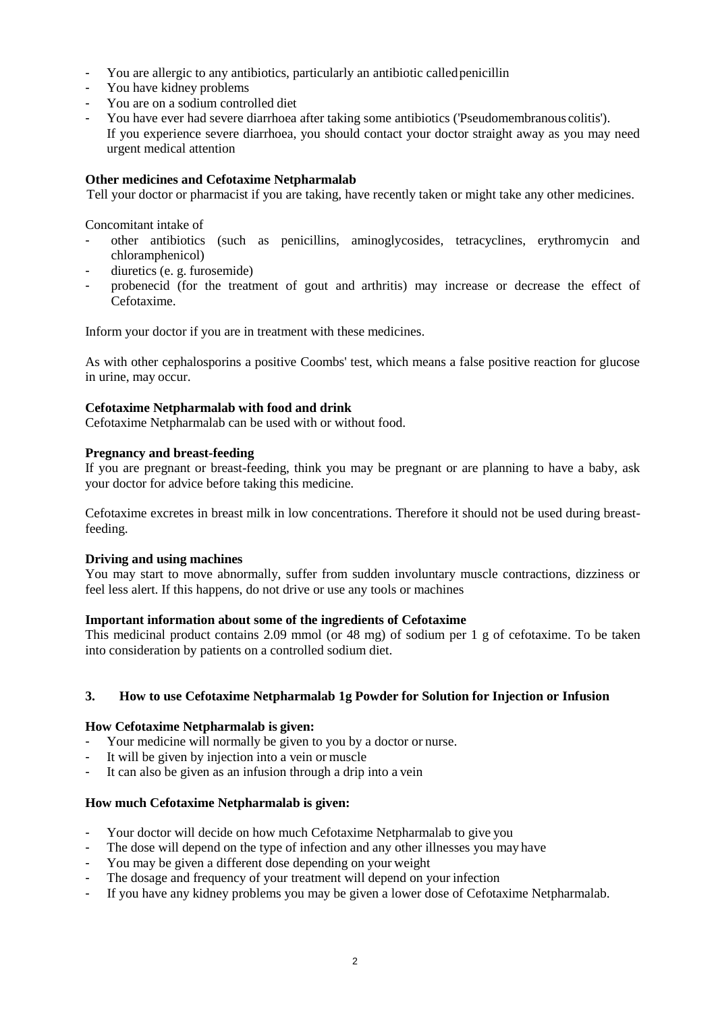- You are allergic to any antibiotics, particularly an antibiotic called penicillin
- You have kidney problems
- You are on a sodium controlled diet
- You have ever had severe diarrhoea after taking some antibiotics ('Pseudomembranous colitis'). If you experience severe diarrhoea, you should contact your doctor straight away as you may need urgent medical attention

### **Other medicines and Cefotaxime Netpharmalab**

Tell your doctor or pharmacist if you are taking, have recently taken or might take any other medicines.

Concomitant intake of

- other antibiotics (such as penicillins, aminoglycosides, tetracyclines, erythromycin and chloramphenicol)
- diuretics (e. g. furosemide)
- probenecid (for the treatment of gout and arthritis) may increase or decrease the effect of Cefotaxime.

Inform your doctor if you are in treatment with these medicines.

As with other cephalosporins a positive Coombs' test, which means a false positive reaction for glucose in urine, may occur.

#### **Cefotaxime Netpharmalab with food and drink**

Cefotaxime Netpharmalab can be used with or without food.

#### **Pregnancy and breast-feeding**

If you are pregnant or breast-feeding, think you may be pregnant or are planning to have a baby, ask your doctor for advice before taking this medicine.

Cefotaxime excretes in breast milk in low concentrations. Therefore it should not be used during breastfeeding.

#### **Driving and using machines**

You may start to move abnormally, suffer from sudden involuntary muscle contractions, dizziness or feel less alert. If this happens, do not drive or use any tools or machines

### **Important information about some of the ingredients of Cefotaxime**

This medicinal product contains 2.09 mmol (or 48 mg) of sodium per 1 g of cefotaxime. To be taken into consideration by patients on a controlled sodium diet.

### **3. How to use Cefotaxime Netpharmalab 1g Powder for Solution for Injection or Infusion**

### **How Cefotaxime Netpharmalab is given:**

- Your medicine will normally be given to you by a doctor or nurse.
- It will be given by injection into a vein or muscle
- It can also be given as an infusion through a drip into a vein

### **How much Cefotaxime Netpharmalab is given:**

- Your doctor will decide on how much Cefotaxime Netpharmalab to give you
- The dose will depend on the type of infection and any other illnesses you may have
- You may be given a different dose depending on your weight
- The dosage and frequency of your treatment will depend on your infection
- If you have any kidney problems you may be given a lower dose of Cefotaxime Netpharmalab.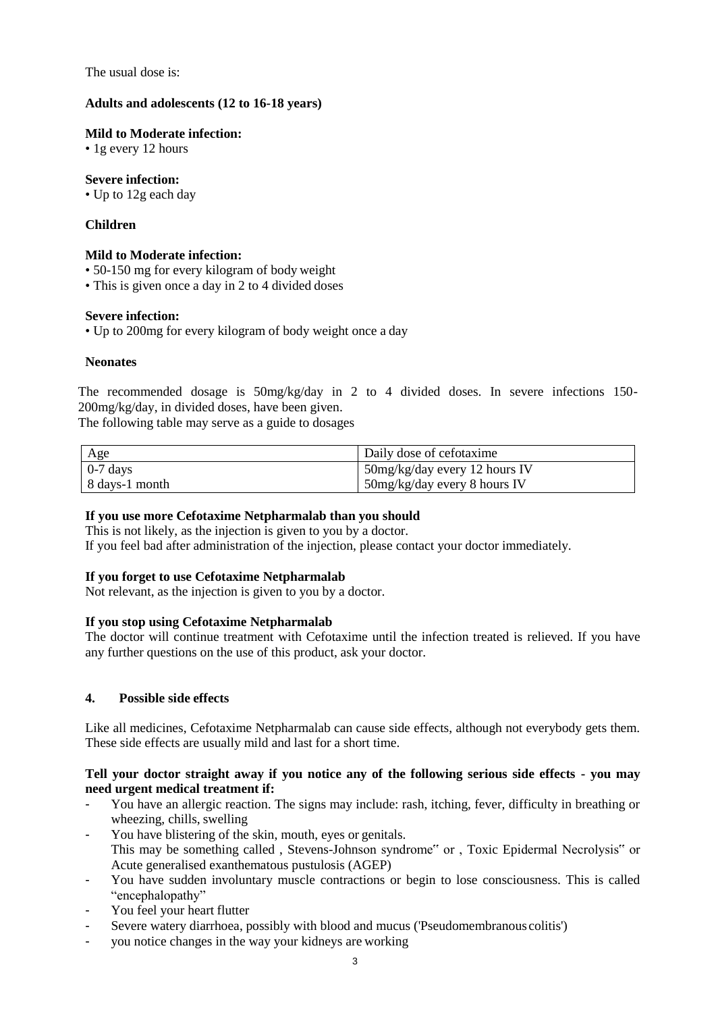The usual dose is:

### **Adults and adolescents (12 to 16-18 years)**

### **Mild to Moderate infection:**

• 1g every 12 hours

## **Severe infection:**

• Up to 12g each day

# **Children**

### **Mild to Moderate infection:**

- 50-150 mg for every kilogram of body weight
- This is given once a day in 2 to 4 divided doses

## **Severe infection:**

• Up to 200mg for every kilogram of body weight once a day

## **Neonates**

The recommended dosage is 50mg/kg/day in 2 to 4 divided doses. In severe infections 150- 200mg/kg/day, in divided doses, have been given.

The following table may serve as a guide to dosages

| Age            | Daily dose of cefotaxime        |
|----------------|---------------------------------|
| $0-7$ days     | $50mg/kg/day$ every 12 hours IV |
| 8 days-1 month | $50$ mg/kg/day every 8 hours IV |

# **If you use more Cefotaxime Netpharmalab than you should**

This is not likely, as the injection is given to you by a doctor. If you feel bad after administration of the injection, please contact your doctor immediately.

### **If you forget to use Cefotaxime Netpharmalab**

Not relevant, as the injection is given to you by a doctor.

# **If you stop using Cefotaxime Netpharmalab**

The doctor will continue treatment with Cefotaxime until the infection treated is relieved. If you have any further questions on the use of this product, ask your doctor.

# **4. Possible side effects**

Like all medicines, Cefotaxime Netpharmalab can cause side effects, although not everybody gets them. These side effects are usually mild and last for a short time.

## **Tell your doctor straight away if you notice any of the following serious side effects - you may need urgent medical treatment if:**

- You have an allergic reaction. The signs may include: rash, itching, fever, difficulty in breathing or wheezing, chills, swelling
- You have blistering of the skin, mouth, eyes or genitals. This may be something called , Stevens-Johnson syndrome" or , Toxic Epidermal Necrolysis" or Acute generalised exanthematous pustulosis (AGEP)
- You have sudden involuntary muscle contractions or begin to lose consciousness. This is called "encephalopathy"
- You feel your heart flutter
- Severe watery diarrhoea, possibly with blood and mucus ('Pseudomembranous colitis')
- you notice changes in the way your kidneys are working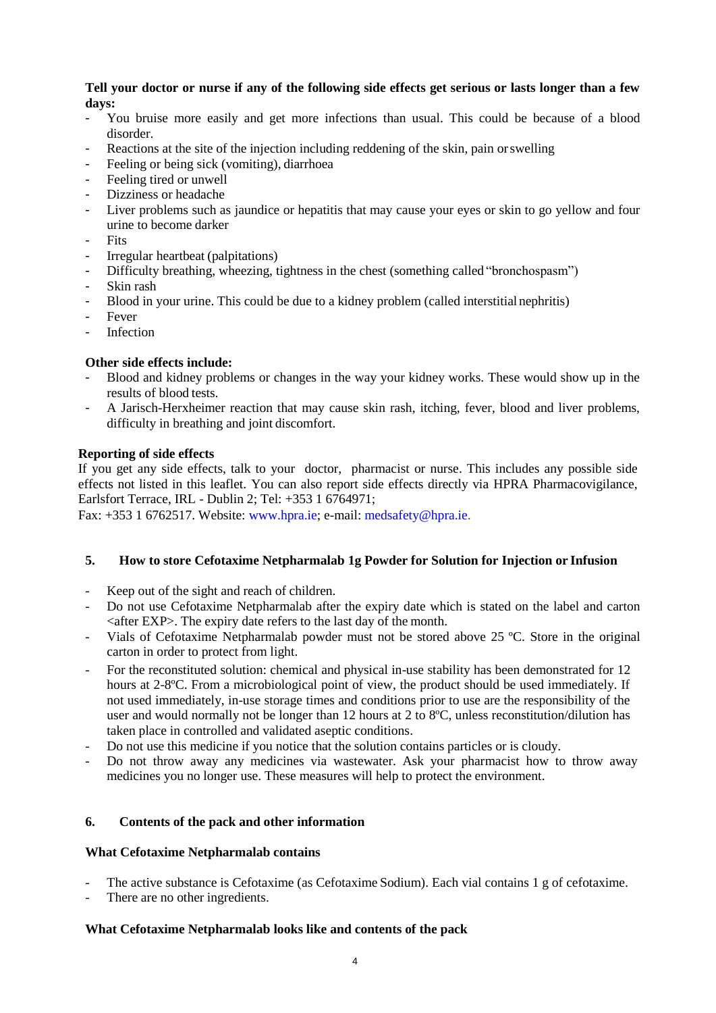## **Tell your doctor or nurse if any of the following side effects get serious or lasts longer than a few days:**

- You bruise more easily and get more infections than usual. This could be because of a blood disorder.
- Reactions at the site of the injection including reddening of the skin, pain or swelling
- Feeling or being sick (vomiting), diarrhoea
- Feeling tired or unwell
- Dizziness or headache
- Liver problems such as jaundice or hepatitis that may cause your eyes or skin to go yellow and four urine to become darker
- Fits
- Irregular heartbeat (palpitations)
- Difficulty breathing, wheezing, tightness in the chest (something called "bronchospasm")
- Skin rash
- Blood in your urine. This could be due to a kidney problem (called interstitial nephritis)
- **Fever**
- **Infection**

# **Other side effects include:**

- Blood and kidney problems or changes in the way your kidney works. These would show up in the results of blood tests.
- A Jarisch-Herxheimer reaction that may cause skin rash, itching, fever, blood and liver problems, difficulty in breathing and joint discomfort.

# **Reporting of side effects**

If you get any side effects, talk to your doctor, pharmacist or nurse. This includes any possible side effects not listed in this leaflet. You can also report side effects directly via HPRA Pharmacovigilance, Earlsfort Terrace, IRL - Dublin 2; Tel: +353 1 6764971;

Fax: +353 1 6762517. Website: www.hpra.ie; e-mail: medsafety@hpra.ie.

# **5. How to store Cefotaxime Netpharmalab 1g Powder for Solution for Injection or Infusion**

- Keep out of the sight and reach of children.
- Do not use Cefotaxime Netpharmalab after the expiry date which is stated on the label and carton  $\langle$  after EXP $>$ . The expiry date refers to the last day of the month.
- Vials of Cefotaxime Netpharmalab powder must not be stored above 25 ºC. Store in the original carton in order to protect from light.
- For the reconstituted solution: chemical and physical in-use stability has been demonstrated for 12 hours at 2-8ºC. From a microbiological point of view, the product should be used immediately. If not used immediately, in-use storage times and conditions prior to use are the responsibility of the user and would normally not be longer than 12 hours at 2 to 8ºC, unless reconstitution/dilution has taken place in controlled and validated aseptic conditions.
- Do not use this medicine if you notice that the solution contains particles or is cloudy.
- Do not throw away any medicines via wastewater. Ask your pharmacist how to throw away medicines you no longer use. These measures will help to protect the environment.

# **6. Contents of the pack and other information**

# **What Cefotaxime Netpharmalab contains**

- The active substance is Cefotaxime (as Cefotaxime Sodium). Each vial contains 1 g of cefotaxime.
- There are no other ingredients.

# **What Cefotaxime Netpharmalab looks like and contents of the pack**